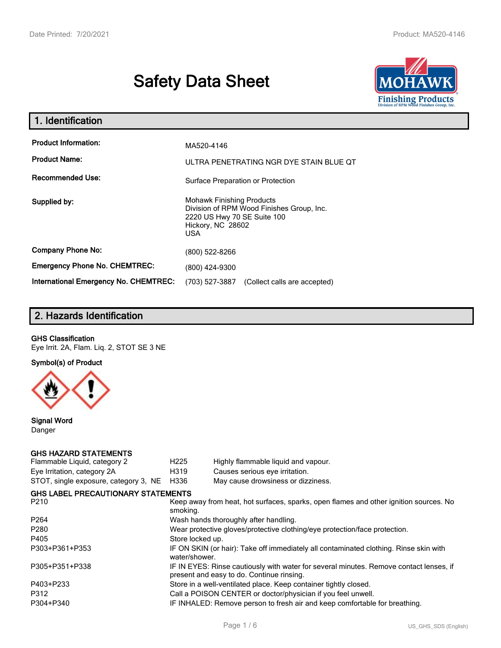# **Safety Data Sheet**



| 1. Identification                            |                                                                                                                                           |  |  |  |  |
|----------------------------------------------|-------------------------------------------------------------------------------------------------------------------------------------------|--|--|--|--|
| <b>Product Information:</b>                  | MA520-4146                                                                                                                                |  |  |  |  |
| <b>Product Name:</b>                         | ULTRA PENETRATING NGR DYE STAIN BLUE QT                                                                                                   |  |  |  |  |
| <b>Recommended Use:</b>                      | Surface Preparation or Protection                                                                                                         |  |  |  |  |
| Supplied by:                                 | <b>Mohawk Finishing Products</b><br>Division of RPM Wood Finishes Group, Inc.<br>2220 US Hwy 70 SE Suite 100<br>Hickory, NC 28602<br>USA. |  |  |  |  |
| <b>Company Phone No:</b>                     | (800) 522-8266                                                                                                                            |  |  |  |  |
| <b>Emergency Phone No. CHEMTREC:</b>         | (800) 424-9300                                                                                                                            |  |  |  |  |
| <b>International Emergency No. CHEMTREC:</b> | (703) 527-3887<br>(Collect calls are accepted)                                                                                            |  |  |  |  |

## **2. Hazards Identification**

#### **GHS Classification**

Eye Irrit. 2A, Flam. Liq. 2, STOT SE 3 NE

**Symbol(s) of Product**



**Signal Word** Danger

#### **GHS HAZARD STATEMENTS**

| H <sub>225</sub>                                                                                  | Highly flammable liquid and vapour.                                                                                                 |  |  |
|---------------------------------------------------------------------------------------------------|-------------------------------------------------------------------------------------------------------------------------------------|--|--|
| H319                                                                                              | Causes serious eye irritation.                                                                                                      |  |  |
| H336                                                                                              | May cause drowsiness or dizziness.                                                                                                  |  |  |
|                                                                                                   |                                                                                                                                     |  |  |
| Keep away from heat, hot surfaces, sparks, open flames and other ignition sources. No<br>smoking. |                                                                                                                                     |  |  |
|                                                                                                   | Wash hands thoroughly after handling.                                                                                               |  |  |
| Wear protective gloves/protective clothing/eye protection/face protection.                        |                                                                                                                                     |  |  |
| Store locked up.                                                                                  |                                                                                                                                     |  |  |
| water/shower.                                                                                     | IF ON SKIN (or hair): Take off immediately all contaminated clothing. Rinse skin with                                               |  |  |
|                                                                                                   | IF IN EYES: Rinse cautiously with water for several minutes. Remove contact lenses, if<br>present and easy to do. Continue rinsing. |  |  |
|                                                                                                   | Store in a well-ventilated place. Keep container tightly closed.                                                                    |  |  |
|                                                                                                   | Call a POISON CENTER or doctor/physician if you feel unwell.                                                                        |  |  |
|                                                                                                   | IF INHALED: Remove person to fresh air and keep comfortable for breathing.                                                          |  |  |
|                                                                                                   | <b>GHS LABEL PRECAUTIONARY STATEMENTS</b>                                                                                           |  |  |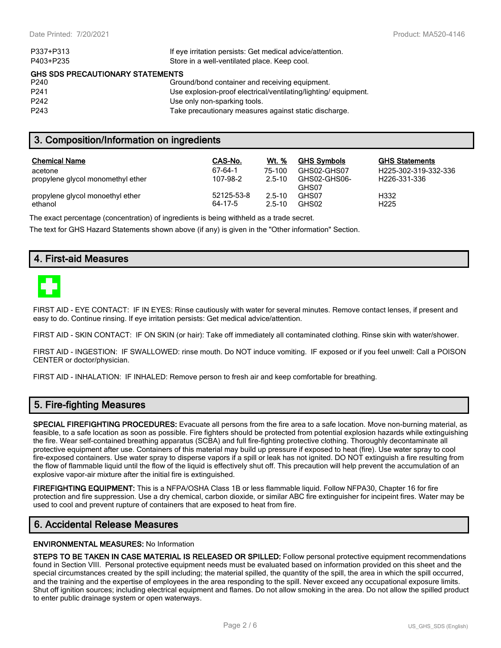| P337+P313                                                 | If eye irritation persists: Get medical advice/attention.      |  |  |  |
|-----------------------------------------------------------|----------------------------------------------------------------|--|--|--|
| P403+P235<br>Store in a well-ventilated place. Keep cool. |                                                                |  |  |  |
| <b>GHS SDS PRECAUTIONARY STATEMENTS</b>                   |                                                                |  |  |  |
| P <sub>240</sub>                                          | Ground/bond container and receiving equipment.                 |  |  |  |
| P <sub>241</sub>                                          | Use explosion-proof electrical/ventilating/lighting/equipment. |  |  |  |
| P <sub>242</sub>                                          | Use only non-sparking tools.                                   |  |  |  |
| P <sub>243</sub>                                          | Take precautionary measures against static discharge.          |  |  |  |

### **3. Composition/Information on ingredients**

| <b>Chemical Name</b>              | CAS-No.    | Wt. %      | <b>GHS Symbols</b>    | <b>GHS Statements</b>     |
|-----------------------------------|------------|------------|-----------------------|---------------------------|
| acetone                           | 67-64-1    | 75-100     | GHS02-GHS07           | H225-302-319-332-336      |
| propylene glycol monomethyl ether | 107-98-2   | $2.5 - 10$ | GHS02-GHS06-<br>GHS07 | H <sub>226</sub> -331-336 |
| propylene glycol monoethyl ether  | 52125-53-8 | $2.5 - 10$ | GHS07                 | H332                      |
| ethanol                           | 64-17-5    | $2.5 - 10$ | GHS02                 | H <sub>225</sub>          |

The exact percentage (concentration) of ingredients is being withheld as a trade secret.

The text for GHS Hazard Statements shown above (if any) is given in the "Other information" Section.

## **4. First-aid Measures**



FIRST AID - EYE CONTACT: IF IN EYES: Rinse cautiously with water for several minutes. Remove contact lenses, if present and easy to do. Continue rinsing. If eye irritation persists: Get medical advice/attention.

FIRST AID - SKIN CONTACT: IF ON SKIN (or hair): Take off immediately all contaminated clothing. Rinse skin with water/shower.

FIRST AID - INGESTION: IF SWALLOWED: rinse mouth. Do NOT induce vomiting. IF exposed or if you feel unwell: Call a POISON CENTER or doctor/physician.

FIRST AID - INHALATION: IF INHALED: Remove person to fresh air and keep comfortable for breathing.

## **5. Fire-fighting Measures**

**SPECIAL FIREFIGHTING PROCEDURES:** Evacuate all persons from the fire area to a safe location. Move non-burning material, as feasible, to a safe location as soon as possible. Fire fighters should be protected from potential explosion hazards while extinguishing the fire. Wear self-contained breathing apparatus (SCBA) and full fire-fighting protective clothing. Thoroughly decontaminate all protective equipment after use. Containers of this material may build up pressure if exposed to heat (fire). Use water spray to cool fire-exposed containers. Use water spray to disperse vapors if a spill or leak has not ignited. DO NOT extinguish a fire resulting from the flow of flammable liquid until the flow of the liquid is effectively shut off. This precaution will help prevent the accumulation of an explosive vapor-air mixture after the initial fire is extinguished.

**FIREFIGHTING EQUIPMENT:** This is a NFPA/OSHA Class 1B or less flammable liquid. Follow NFPA30, Chapter 16 for fire protection and fire suppression. Use a dry chemical, carbon dioxide, or similar ABC fire extinguisher for incipeint fires. Water may be used to cool and prevent rupture of containers that are exposed to heat from fire.

#### **6. Accidental Release Measures**

#### **ENVIRONMENTAL MEASURES:** No Information

**STEPS TO BE TAKEN IN CASE MATERIAL IS RELEASED OR SPILLED:** Follow personal protective equipment recommendations found in Section VIII. Personal protective equipment needs must be evaluated based on information provided on this sheet and the special circumstances created by the spill including; the material spilled, the quantity of the spill, the area in which the spill occurred, and the training and the expertise of employees in the area responding to the spill. Never exceed any occupational exposure limits. Shut off ignition sources; including electrical equipment and flames. Do not allow smoking in the area. Do not allow the spilled product to enter public drainage system or open waterways.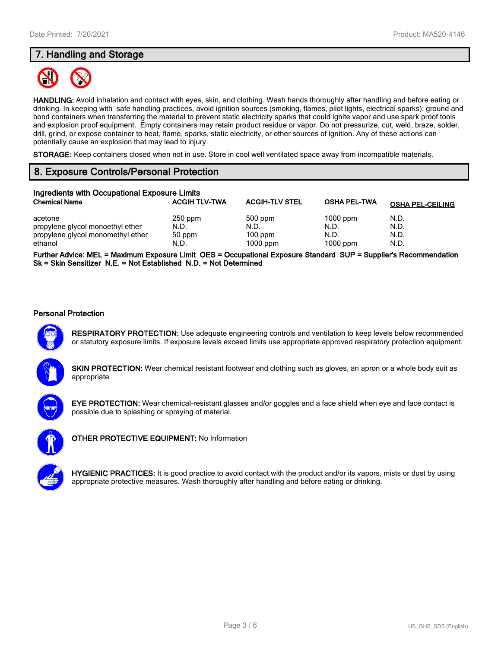## **7. Handling and Storage**



**HANDLING:** Avoid inhalation and contact with eyes, skin, and clothing. Wash hands thoroughly after handling and before eating or drinking. In keeping with safe handling practices, avoid ignition sources (smoking, flames, pilot lights, electrical sparks); ground and bond containers when transferring the material to prevent static electricity sparks that could ignite vapor and use spark proof tools and explosion proof equipment. Empty containers may retain product residue or vapor. Do not pressurize, cut, weld, braze, solder, drill, grind, or expose container to heat, flame, sparks, static electricity, or other sources of ignition. Any of these actions can potentially cause an explosion that may lead to injury.

**STORAGE:** Keep containers closed when not in use. Store in cool well ventilated space away from incompatible materials.

## **8. Exposure Controls/Personal Protection**

| Ingredients with Occupational Exposure Limits                                               |                                     |                                            |                                          |                              |  |  |
|---------------------------------------------------------------------------------------------|-------------------------------------|--------------------------------------------|------------------------------------------|------------------------------|--|--|
| <b>Chemical Name</b>                                                                        | <b>ACGIH TLV-TWA</b>                | <b>ACGIH-TLV STEL</b>                      | <b>OSHA PEL-TWA</b>                      | <b>OSHA PEL-CEILING</b>      |  |  |
| acetone<br>propylene glycol monoethyl ether<br>propylene glycol monomethyl ether<br>ethanol | $250$ ppm<br>N.D.<br>50 ppm<br>N.D. | 500 ppm<br>N.D.<br>$100$ ppm<br>$1000$ ppm | $1000$ ppm<br>N.D.<br>N.D.<br>$1000$ ppm | N.D.<br>N.D.<br>N.D.<br>N.D. |  |  |

**Further Advice: MEL = Maximum Exposure Limit OES = Occupational Exposure Standard SUP = Supplier's Recommendation Sk = Skin Sensitizer N.E. = Not Established N.D. = Not Determined**

#### **Personal Protection**



**RESPIRATORY PROTECTION:** Use adequate engineering controls and ventilation to keep levels below recommended or statutory exposure limits. If exposure levels exceed limits use appropriate approved respiratory protection equipment.

**SKIN PROTECTION:** Wear chemical resistant footwear and clothing such as gloves, an apron or a whole body suit as appropriate.



**EYE PROTECTION:** Wear chemical-resistant glasses and/or goggles and a face shield when eye and face contact is possible due to splashing or spraying of material.



**OTHER PROTECTIVE EQUIPMENT:** No Information



**HYGIENIC PRACTICES:** It is good practice to avoid contact with the product and/or its vapors, mists or dust by using appropriate protective measures. Wash thoroughly after handling and before eating or drinking.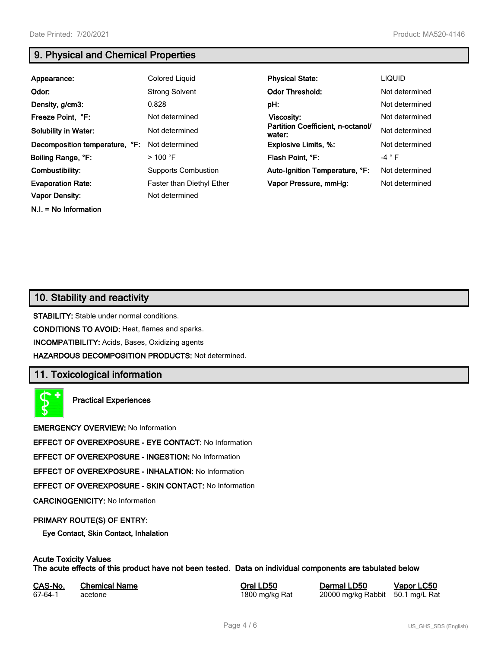**N.I. = No Information**

## **9. Physical and Chemical Properties**

| Appearance:                    | Colored Liquid                   | <b>Physical State:</b>                      | <b>LIQUID</b>  |
|--------------------------------|----------------------------------|---------------------------------------------|----------------|
| Odor:                          | <b>Strong Solvent</b>            | <b>Odor Threshold:</b>                      | Not determined |
| Density, g/cm3:                | 0.828                            | pH:                                         | Not determined |
| Freeze Point, °F:              | Not determined                   | Viscosity:                                  | Not determined |
| <b>Solubility in Water:</b>    | Not determined                   | Partition Coefficient, n-octanol/<br>water: | Not determined |
| Decomposition temperature, °F: | Not determined                   | <b>Explosive Limits, %:</b>                 | Not determined |
| Boiling Range, °F:             | $>$ 100 °F                       | Flash Point, °F:                            | $-4 ° F$       |
| Combustibility:                | <b>Supports Combustion</b>       | Auto-Ignition Temperature, °F:              | Not determined |
| <b>Evaporation Rate:</b>       | <b>Faster than Diethyl Ether</b> | Vapor Pressure, mmHg:                       | Not determined |
| <b>Vapor Density:</b>          | Not determined                   |                                             |                |

## **10. Stability and reactivity**

**STABILITY:** Stable under normal conditions.

**CONDITIONS TO AVOID:** Heat, flames and sparks.

**INCOMPATIBILITY:** Acids, Bases, Oxidizing agents

**HAZARDOUS DECOMPOSITION PRODUCTS:** Not determined.

## **11. Toxicological information**

**Practical Experiences**

**EMERGENCY OVERVIEW:** No Information

**EFFECT OF OVEREXPOSURE - EYE CONTACT:** No Information

**EFFECT OF OVEREXPOSURE - INGESTION:** No Information

**EFFECT OF OVEREXPOSURE - INHALATION:** No Information

**EFFECT OF OVEREXPOSURE - SKIN CONTACT:** No Information

**CARCINOGENICITY:** No Information

#### **PRIMARY ROUTE(S) OF ENTRY:**

**Eye Contact, Skin Contact, Inhalation**

## **Acute Toxicity Values**

**The acute effects of this product have not been tested. Data on individual components are tabulated below**

| CAS-No. | <b>Chemical Name</b> |
|---------|----------------------|
| 67-64-1 | acetone              |

**Casary Chemical Chemical LD50 Chemical LD50 Vapor LC50** 1800 mg/kg Rat 20000 mg/kg Rabbit 50.1 mg/L Rat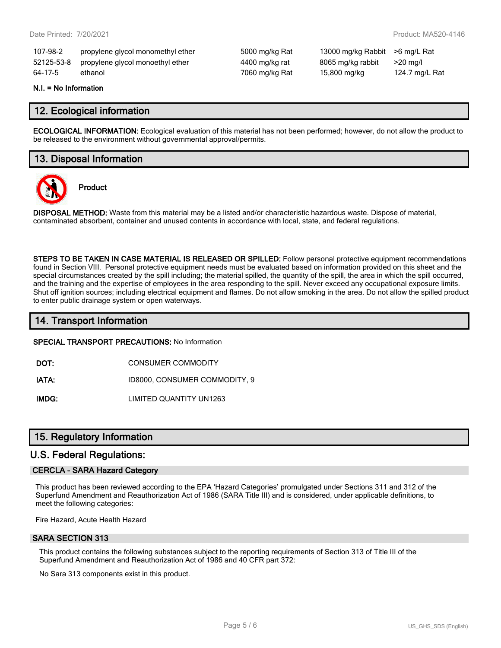| 107-98-2 | propylene glycol monomethyl ether           | 50  |
|----------|---------------------------------------------|-----|
|          | 52125-53-8 propylene glycol monoethyl ether | 44  |
| 64-17-5  | ethanol                                     | 70( |

00 mg/kg Rat 13000 mg/kg Rabbit >6 mg/L Rat 521250 propyleng/kg propylene glycol mander and an angle and all ether and angle and angle and angle 60 mg/kg Rat 15,800 mg/kg 124.7 mg/L Rat

#### **N.I. = No Information**

## **12. Ecological information**

**ECOLOGICAL INFORMATION:** Ecological evaluation of this material has not been performed; however, do not allow the product to be released to the environment without governmental approval/permits.

## **13. Disposal Information**



**Product**

**DISPOSAL METHOD:** Waste from this material may be a listed and/or characteristic hazardous waste. Dispose of material, contaminated absorbent, container and unused contents in accordance with local, state, and federal regulations.

**STEPS TO BE TAKEN IN CASE MATERIAL IS RELEASED OR SPILLED:** Follow personal protective equipment recommendations found in Section VIII. Personal protective equipment needs must be evaluated based on information provided on this sheet and the special circumstances created by the spill including; the material spilled, the quantity of the spill, the area in which the spill occurred, and the training and the expertise of employees in the area responding to the spill. Never exceed any occupational exposure limits. Shut off ignition sources; including electrical equipment and flames. Do not allow smoking in the area. Do not allow the spilled product to enter public drainage system or open waterways.

## **14. Transport Information**

#### **SPECIAL TRANSPORT PRECAUTIONS:** No Information

**DOT:** CONSUMER COMMODITY

**IATA:** ID8000, CONSUMER COMMODITY, 9

**IMDG:** LIMITED QUANTITY UN1263

## **15. Regulatory Information**

#### **U.S. Federal Regulations:**

#### **CERCLA - SARA Hazard Category**

This product has been reviewed according to the EPA 'Hazard Categories' promulgated under Sections 311 and 312 of the Superfund Amendment and Reauthorization Act of 1986 (SARA Title III) and is considered, under applicable definitions, to meet the following categories:

Fire Hazard, Acute Health Hazard

#### **SARA SECTION 313**

This product contains the following substances subject to the reporting requirements of Section 313 of Title III of the Superfund Amendment and Reauthorization Act of 1986 and 40 CFR part 372:

No Sara 313 components exist in this product.